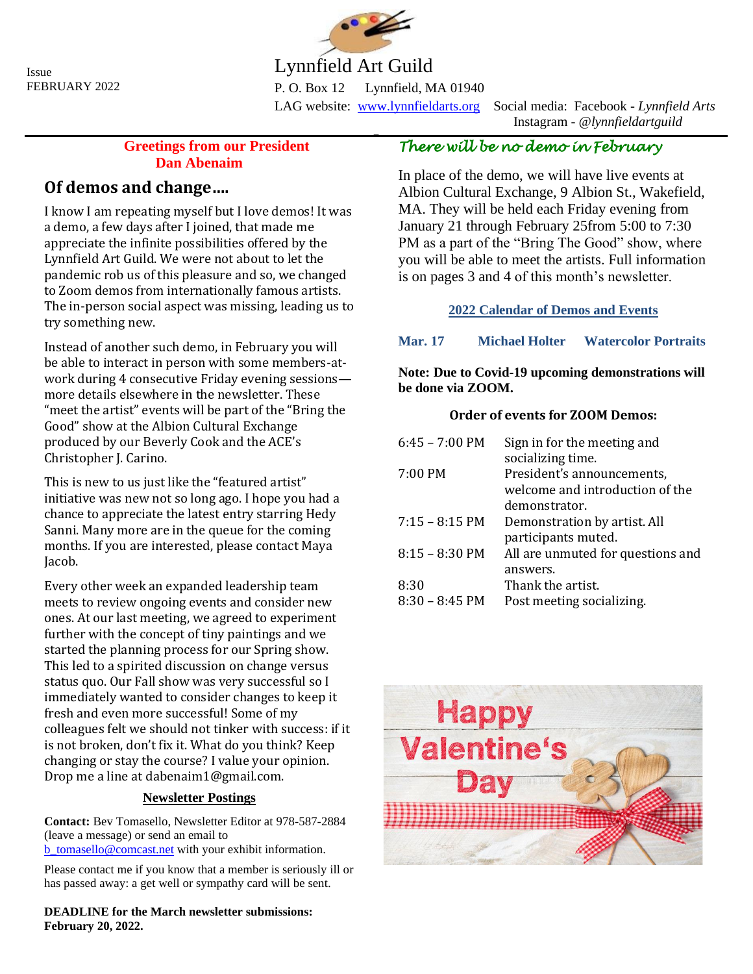Issue FEBRUARY 2022



# Lynnfield Art Guild

P. O. Box 12 Lynnfield, MA 01940 LAG website: [www.lynnfieldarts.org](about:blank) Social media: Facebook - *Lynnfield Arts*

 $\overline{a}$ 

Instagram - *@lynnfieldartguild*

### **Greetings from our President Dan Abenaim**

## **Of demos and change….**

I know I am repeating myself but I love demos! It was a demo, a few days after I joined, that made me appreciate the infinite possibilities offered by the Lynnfield Art Guild. We were not about to let the pandemic rob us of this pleasure and so, we changed to Zoom demos from internationally famous artists. The in-person social aspect was missing, leading us to try something new.

Instead of another such demo, in February you will be able to interact in person with some members-atwork during 4 consecutive Friday evening sessions more details elsewhere in the newsletter. These "meet the artist" events will be part of the "Bring the Good" show at the Albion Cultural Exchange produced by our Beverly Cook and the ACE's Christopher J. Carino.

This is new to us just like the "featured artist" initiative was new not so long ago. I hope you had a chance to appreciate the latest entry starring Hedy Sanni. Many more are in the queue for the coming months. If you are interested, please contact Maya Jacob.

Every other week an expanded leadership team meets to review ongoing events and consider new ones. At our last meeting, we agreed to experiment further with the concept of tiny paintings and we started the planning process for our Spring show. This led to a spirited discussion on change versus status quo. Our Fall show was very successful so I immediately wanted to consider changes to keep it fresh and even more successful! Some of my colleagues felt we should not tinker with success: if it is not broken, don't fix it. What do you think? Keep changing or stay the course? I value your opinion. Drop me a line at dabenaim1@gmail.com.

### **Newsletter Postings**

**Contact:** Bev Tomasello, Newsletter Editor at 978-587-2884 (leave a message) or send an email to [b\\_tomasello@comcast.net](about:blank) with your exhibit information.

Please contact me if you know that a member is seriously ill or has passed away: a get well or sympathy card will be sent.

**DEADLINE for the March newsletter submissions: February 20, 2022.**

# *There will be no demo in February*

In place of the demo, we will have live events at Albion Cultural Exchange, 9 Albion St., Wakefield, MA. They will be held each Friday evening from January 21 through February 25from 5:00 to 7:30 PM as a part of the "Bring The Good" show, where you will be able to meet the artists. Full information is on pages 3 and 4 of this month's newsletter.

### **2022 Calendar of Demos and Events**

### **Mar. 17 Michael Holter Watercolor Portraits**

#### **Note: Due to Covid-19 upcoming demonstrations will be done via ZOOM.**

### **Order of events for ZOOM Demos:**

| $6:45 - 7:00$ PM         | Sign in for the meeting and       |
|--------------------------|-----------------------------------|
|                          | socializing time.                 |
| 7:00 PM                  | President's announcements,        |
|                          | welcome and introduction of the   |
|                          | demonstrator.                     |
| $7:15 - 8:15$ PM         | Demonstration by artist. All      |
|                          | participants muted.               |
| $8:15 - 8:30 \text{ PM}$ | All are unmuted for questions and |
|                          | answers.                          |
| 8:30                     | Thank the artist.                 |
| $8:30 - 8:45 \text{ PM}$ | Post meeting socializing.         |

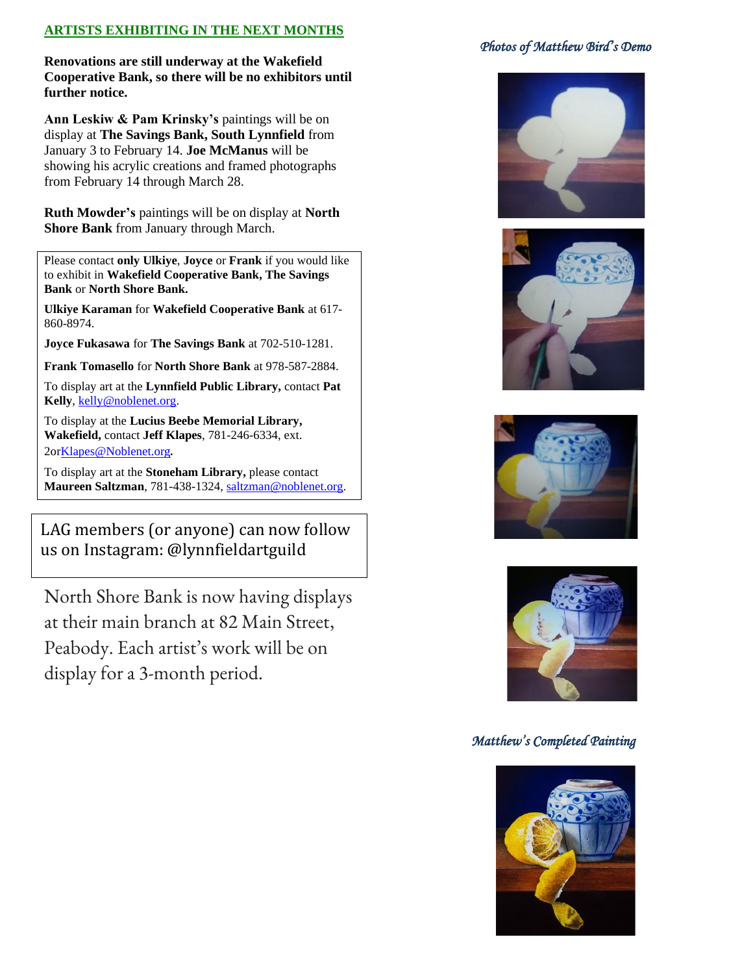### **ARTISTS EXHIBITING IN THE NEXT MONTHS**

**Renovations are still underway at the Wakefield Cooperative Bank, so there will be no exhibitors until further notice.**

**Ann Leskiw & Pam Krinsky's** paintings will be on display at **The Savings Bank, South Lynnfield** from January 3 to February 14. **Joe McManus** will be showing his acrylic creations and framed photographs from February 14 through March 28.

**Ruth Mowder's** paintings will be on display at **North Shore Bank** from January through March.

Please contact **only Ulkiye**, **Joyce** or **Frank** if you would like to exhibit in **Wakefield Cooperative Bank, The Savings Bank** or **North Shore Bank.**

**Ulkiye Karaman** for **Wakefield Cooperative Bank** at 617- 860-8974.

**Joyce Fukasawa** for **The Savings Bank** at 702-510-1281.

**Frank Tomasello** for **North Shore Bank** at 978-587-2884.

To display art at the **Lynnfield Public Library,** contact **Pat Kelly**, [kelly@noblenet.org.](about:blank)

To display at the **Lucius Beebe Memorial Library, Wakefield,** contact **Jeff Klapes**, 781-246-6334, ext. 2o[rKlapes@Noblenet.or](about:blank)[g](about:blank).

To display art at the **Stoneham Library,** please contact **Maureen Saltzman**, 781-438-1324, [saltzman@noblenet.org.](about:blank)

LAG members (or anyone) can now follow us on Instagram: @lynnfieldartguild

North Shore Bank is now having displays at their main branch at 82 Main Street, Peabody. Each artist's work will be on display for a 3-month period.

#### *Photos of Matthew Bird's Demo*









#### *Matthew's Completed Painting*

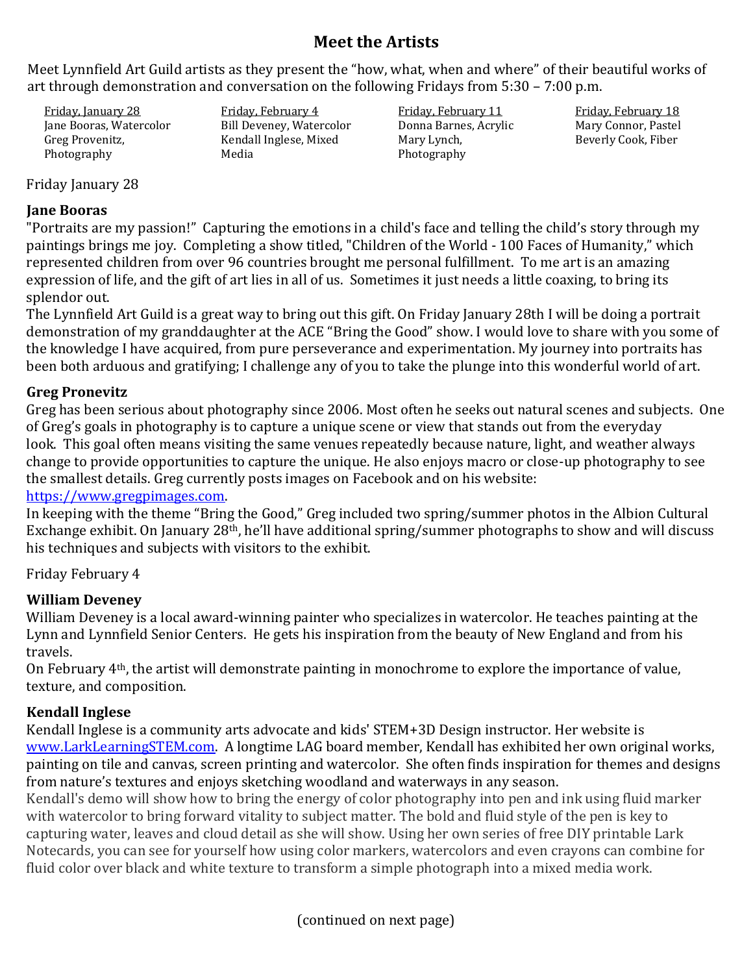# **Meet the Artists**

Meet Lynnfield Art Guild artists as they present the "how, what, when and where" of their beautiful works of art through demonstration and conversation on the following Fridays from 5:30 – 7:00 p.m.

Friday, January 28 Jane Booras, Watercolor Greg Provenitz, Photography

Friday, February 4 Bill Deveney, Watercolor Kendall Inglese, Mixed Media

Friday, February 11 Donna Barnes, Acrylic Mary Lynch, Photography

Friday, February 18 Mary Connor, Pastel Beverly Cook, Fiber

Friday January 28

## **Jane Booras**

"Portraits are my passion!" Capturing the emotions in a child's face and telling the child's story through my paintings brings me joy. Completing a show titled, "Children of the World - 100 Faces of Humanity," which represented children from over 96 countries brought me personal fulfillment. To me art is an amazing expression of life, and the gift of art lies in all of us. Sometimes it just needs a little coaxing, to bring its splendor out.

The Lynnfield Art Guild is a great way to bring out this gift. On Friday January 28th I will be doing a portrait demonstration of my granddaughter at the ACE "Bring the Good" show. I would love to share with you some of the knowledge I have acquired, from pure perseverance and experimentation. My journey into portraits has been both arduous and gratifying; I challenge any of you to take the plunge into this wonderful world of art.

### **Greg Pronevitz**

Greg has been serious about photography since 2006. Most often he seeks out natural scenes and subjects. One of Greg's goals in photography is to capture a unique scene or view that stands out from the everyday look. This goal often means visiting the same venues repeatedly because nature, light, and weather always change to provide opportunities to capture the unique. He also enjoys macro or close-up photography to see the smallest details. Greg currently posts images on Facebook and on his website:

### [https://www.gregpimages.com.](https://www.gregpimages.com/)

In keeping with the theme "Bring the Good," Greg included two spring/summer photos in the Albion Cultural Exchange exhibit. On January 28th, he'll have additional spring/summer photographs to show and will discuss his techniques and subjects with visitors to the exhibit.

## Friday February 4

## **William Deveney**

William Deveney is a local award-winning painter who specializes in watercolor. He teaches painting at the Lynn and Lynnfield Senior Centers. He gets his inspiration from the beauty of New England and from his travels.

On February 4th, the artist will demonstrate painting in monochrome to explore the importance of value, texture, and composition.

## **Kendall Inglese**

Kendall Inglese is a community arts advocate and kids' STEM+3D Design instructor. Her website is [www.LarkLearningSTEM.com.](http://www.larklearningstem.com/) A longtime LAG board member, Kendall has exhibited her own original works, painting on tile and canvas, screen printing and watercolor. She often finds inspiration for themes and designs from nature's textures and enjoys sketching woodland and waterways in any season.

Kendall's demo will show how to bring the energy of color photography into pen and ink using fluid marker with watercolor to bring forward vitality to subject matter. The bold and fluid style of the pen is key to capturing water, leaves and cloud detail as she will show. Using her own series of free DIY printable Lark Notecards, you can see for yourself how using color markers, watercolors and even crayons can combine for fluid color over black and white texture to transform a simple photograph into a mixed media work.